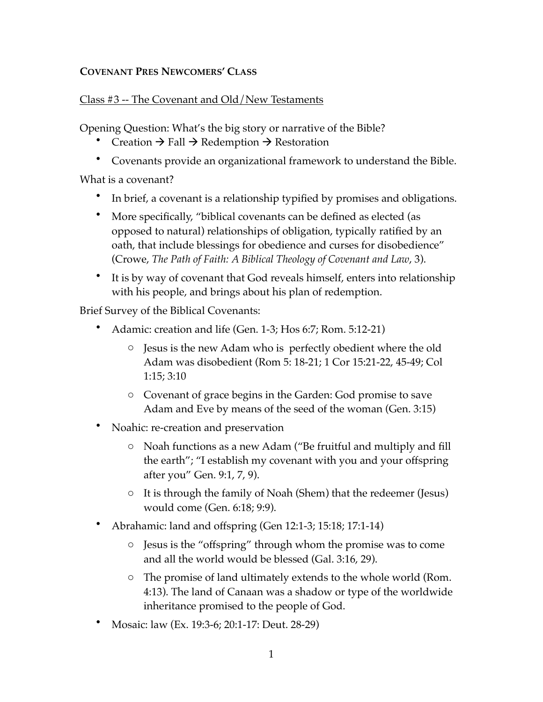## **COVENANT PRES NEWCOMERS' CLASS**

## Class #3 -- The Covenant and Old/New Testaments

Opening Question: What's the big story or narrative of the Bible?

- Creation  $\rightarrow$  Fall  $\rightarrow$  Redemption  $\rightarrow$  Restoration
- Covenants provide an organizational framework to understand the Bible.

What is a covenant?

- In brief, a covenant is a relationship typified by promises and obligations.
- More specifically, "biblical covenants can be defined as elected (as opposed to natural) relationships of obligation, typically ratified by an oath, that include blessings for obedience and curses for disobedience" (Crowe, *The Path of Faith: A Biblical Theology of Covenant and Law*, 3).
- It is by way of covenant that God reveals himself, enters into relationship with his people, and brings about his plan of redemption.

Brief Survey of the Biblical Covenants:

- Adamic: creation and life (Gen. 1-3; Hos 6:7; Rom. 5:12-21)
	- o Jesus is the new Adam who is perfectly obedient where the old Adam was disobedient (Rom 5: 18-21; 1 Cor 15:21-22, 45-49; Col 1:15; 3:10
	- o Covenant of grace begins in the Garden: God promise to save Adam and Eve by means of the seed of the woman (Gen. 3:15)
- Noahic: re-creation and preservation
	- o Noah functions as a new Adam ("Be fruitful and multiply and fill the earth"; "I establish my covenant with you and your offspring after you" Gen. 9:1, 7, 9).
	- o It is through the family of Noah (Shem) that the redeemer (Jesus) would come (Gen. 6:18; 9:9).
- Abrahamic: land and offspring (Gen 12:1-3; 15:18; 17:1-14)
	- o Jesus is the "offspring" through whom the promise was to come and all the world would be blessed (Gal. 3:16, 29).
	- o The promise of land ultimately extends to the whole world (Rom. 4:13). The land of Canaan was a shadow or type of the worldwide inheritance promised to the people of God.
- Mosaic: law (Ex. 19:3-6; 20:1-17: Deut. 28-29)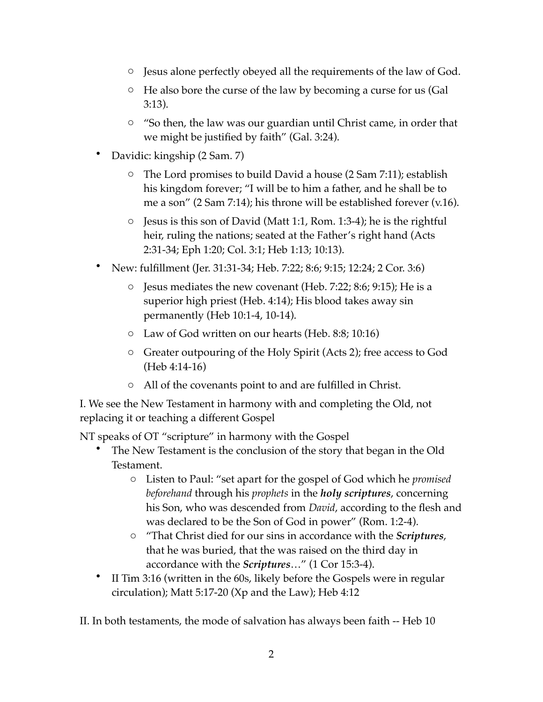- o Jesus alone perfectly obeyed all the requirements of the law of God.
- o He also bore the curse of the law by becoming a curse for us (Gal 3:13).
- o "So then, the law was our guardian until Christ came, in order that we might be justified by faith" (Gal. 3:24).
- Davidic: kingship (2 Sam. 7)
	- o The Lord promises to build David a house (2 Sam 7:11); establish his kingdom forever; "I will be to him a father, and he shall be to me a son" (2 Sam 7:14); his throne will be established forever (v.16).
	- o Jesus is this son of David (Matt 1:1, Rom. 1:3-4); he is the rightful heir, ruling the nations; seated at the Father's right hand (Acts 2:31-34; Eph 1:20; Col. 3:1; Heb 1:13; 10:13).
- New: fulfillment (Jer. 31:31-34; Heb. 7:22; 8:6; 9:15; 12:24; 2 Cor. 3:6)
	- $\circ$  Jesus mediates the new covenant (Heb. 7:22; 8:6; 9:15); He is a superior high priest (Heb. 4:14); His blood takes away sin permanently (Heb 10:1-4, 10-14).
	- o Law of God written on our hearts (Heb. 8:8; 10:16)
	- o Greater outpouring of the Holy Spirit (Acts 2); free access to God (Heb 4:14-16)
	- o All of the covenants point to and are fulfilled in Christ.

I. We see the New Testament in harmony with and completing the Old, not replacing it or teaching a different Gospel

NT speaks of OT "scripture" in harmony with the Gospel

- The New Testament is the conclusion of the story that began in the Old Testament.
	- o Listen to Paul: "set apart for the gospel of God which he *promised beforehand* through his *prophets* in the *holy scriptures*, concerning his Son, who was descended from *David*, according to the flesh and was declared to be the Son of God in power" (Rom. 1:2-4).
	- o "That Christ died for our sins in accordance with the *Scriptures*, that he was buried, that the was raised on the third day in accordance with the *Scriptures*…" (1 Cor 15:3-4).
- II Tim 3:16 (written in the 60s, likely before the Gospels were in regular circulation); Matt 5:17-20 (Xp and the Law); Heb 4:12

II. In both testaments, the mode of salvation has always been faith -- Heb 10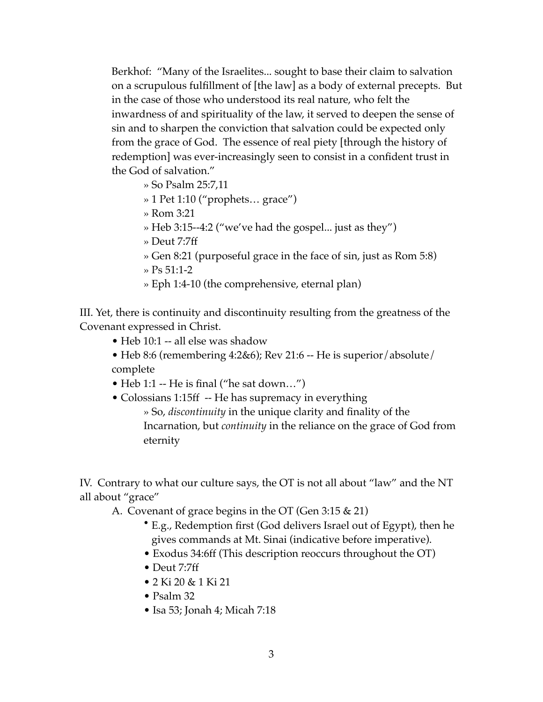Berkhof: "Many of the Israelites... sought to base their claim to salvation on a scrupulous fulfillment of [the law] as a body of external precepts. But in the case of those who understood its real nature, who felt the inwardness of and spirituality of the law, it served to deepen the sense of sin and to sharpen the conviction that salvation could be expected only from the grace of God. The essence of real piety [through the history of redemption] was ever-increasingly seen to consist in a confident trust in the God of salvation."

- » So Psalm 25:7,11
- » 1 Pet 1:10 ("prophets… grace")
- » Rom 3:21
- » Heb 3:15--4:2 ("we've had the gospel... just as they")
- » Deut 7:7ff
- » Gen 8:21 (purposeful grace in the face of sin, just as Rom 5:8)
- » Ps 51:1-2
- » Eph 1:4-10 (the comprehensive, eternal plan)

III. Yet, there is continuity and discontinuity resulting from the greatness of the Covenant expressed in Christ.

- Heb 10:1 -- all else was shadow
- Heb 8:6 (remembering  $4:2&6$ ); Rev 21:6 -- He is superior/absolute/ complete
- Heb 1:1 -- He is final ("he sat down...")
- Colossians 1:15ff -- He has supremacy in everything » So, *discontinuity* in the unique clarity and finality of the Incarnation, but *continuity* in the reliance on the grace of God from eternity

IV. Contrary to what our culture says, the OT is not all about "law" and the NT all about "grace"

A. Covenant of grace begins in the OT (Gen 3:15 & 21)

- E.g., Redemption first (God delivers Israel out of Egypt), then he gives commands at Mt. Sinai (indicative before imperative).
- Exodus 34:6ff (This description reoccurs throughout the OT)
- Deut 7:7ff
- 2 Ki 20 & 1 Ki 21
- Psalm 32
- Isa 53; Jonah 4; Micah 7:18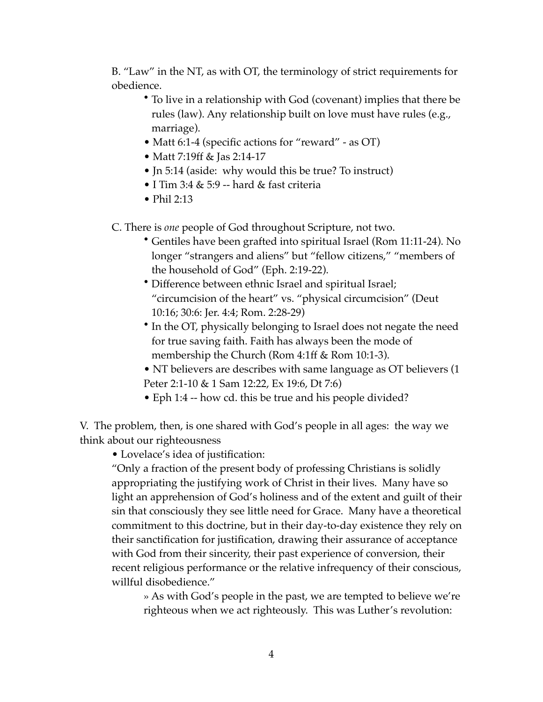B. "Law" in the NT, as with OT, the terminology of strict requirements for obedience.

- To live in a relationship with God (covenant) implies that there be rules (law). Any relationship built on love must have rules (e.g., marriage).
- Matt 6:1-4 (specific actions for "reward" as OT)
- Matt 7:19ff & Jas 2:14-17
- Jn 5:14 (aside: why would this be true? To instruct)
- I Tim 3:4 & 5:9 -- hard & fast criteria
- Phil  $2:13$

C. There is *one* people of God throughout Scripture, not two.

- Gentiles have been grafted into spiritual Israel (Rom 11:11-24). No longer "strangers and aliens" but "fellow citizens," "members of the household of God" (Eph. 2:19-22).
- Difference between ethnic Israel and spiritual Israel; "circumcision of the heart" vs. "physical circumcision" (Deut 10:16; 30:6: Jer. 4:4; Rom. 2:28-29)
- In the OT, physically belonging to Israel does not negate the need for true saving faith. Faith has always been the mode of membership the Church (Rom 4:1ff & Rom 10:1-3).
- NT believers are describes with same language as OT believers (1 Peter 2:1-10 & 1 Sam 12:22, Ex 19:6, Dt 7:6)
- Eph 1:4 -- how cd. this be true and his people divided?

V. The problem, then, is one shared with God's people in all ages: the way we think about our righteousness

• Lovelace's idea of justification:

"Only a fraction of the present body of professing Christians is solidly appropriating the justifying work of Christ in their lives. Many have so light an apprehension of God's holiness and of the extent and guilt of their sin that consciously they see little need for Grace. Many have a theoretical commitment to this doctrine, but in their day-to-day existence they rely on their sanctification for justification, drawing their assurance of acceptance with God from their sincerity, their past experience of conversion, their recent religious performance or the relative infrequency of their conscious, willful disobedience."

» As with God's people in the past, we are tempted to believe we're righteous when we act righteously. This was Luther's revolution: